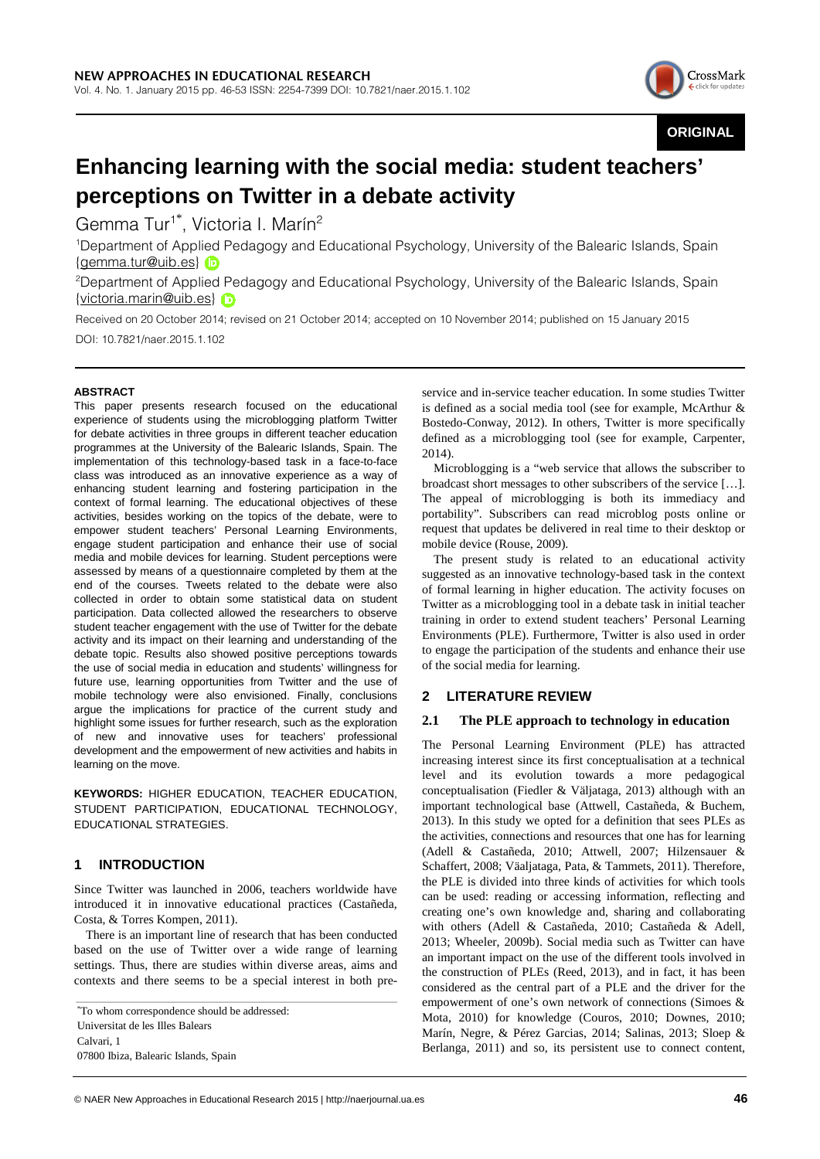

**ORIGINAL**

# **Enhancing learning with the social media: student teachers' perceptions on Twitter in a debate activity**

Gemma Tur<sup>1\*</sup>, Victoria I. Marín<sup>2</sup>

1 Department of Applied Pedagogy and Educational Psychology, University of the Balearic Islands, Spain {gemma.tur@uib.es}

2 Department of Applied Pedagogy and Educational Psychology, University of the Balearic Islands, Spain {victoria.marin@uib.es}

Received on 20 October 2014; revised on 21 October 2014; accepted on 10 November 2014; published on 15 January 2015 DOI: 10.7821/naer.2015.1.102

## **ABSTRACT**

This paper presents research focused on the educational experience of students using the microblogging platform Twitter for debate activities in three groups in different teacher education programmes at the University of the Balearic Islands, Spain. The implementation of this technology-based task in a face-to-face class was introduced as an innovative experience as a way of enhancing student learning and fostering participation in the context of formal learning. The educational objectives of these activities, besides working on the topics of the debate, were to empower student teachers' Personal Learning Environments, engage student participation and enhance their use of social media and mobile devices for learning. Student perceptions were assessed by means of a questionnaire completed by them at the end of the courses. Tweets related to the debate were also collected in order to obtain some statistical data on student participation. Data collected allowed the researchers to observe student teacher engagement with the use of Twitter for the debate activity and its impact on their learning and understanding of the debate topic. Results also showed positive perceptions towards the use of social media in education and students' willingness for future use, learning opportunities from Twitter and the use of mobile technology were also envisioned. Finally, conclusions argue the implications for practice of the current study and highlight some issues for further research, such as the exploration of new and innovative uses for teachers' professional development and the empowerment of new activities and habits in learning on the move.

**KEYWORDS:** HIGHER EDUCATION, TEACHER EDUCATION, STUDENT PARTICIPATION, EDUCATIONAL TECHNOLOGY, EDUCATIONAL STRATEGIES.

# **1 INTRODUCTION**

Since Twitter was launched in 2006, teachers worldwide have introduced it in innovative educational practices (Castañeda, Costa, & Torres Kompen, 2011).

There is an important line of research that has been conducted based on the use of Twitter over a wide range of learning settings. Thus, there are studies within diverse areas, aims and contexts and there seems to be a special interest in both pre-

\*To whom correspondence should be addressed: Universitat de les Illes Balears Calvari, 1 07800 Ibiza, Balearic Islands, Spain

service and in-service teacher education. In some studies Twitter is defined as a social media tool (see for example, McArthur & Bostedo-Conway, 2012). In others, Twitter is more specifically defined as a microblogging tool (see for example, Carpenter, 2014).

Microblogging is a "web service that allows the subscriber to broadcast short messages to other subscribers of the service […]. The appeal of microblogging is both its immediacy and portability". Subscribers can read microblog posts online or request that updates be delivered in real time to their desktop or mobile device (Rouse, 2009).

The present study is related to an educational activity suggested as an innovative technology-based task in the context of formal learning in higher education. The activity focuses on Twitter as a microblogging tool in a debate task in initial teacher training in order to extend student teachers' Personal Learning Environments (PLE). Furthermore, Twitter is also used in order to engage the participation of the students and enhance their use of the social media for learning.

## **2 LITERATURE REVIEW**

## **2.1 The PLE approach to technology in education**

The Personal Learning Environment (PLE) has attracted increasing interest since its first conceptualisation at a technical level and its evolution towards a more pedagogical conceptualisation (Fiedler & Väljataga, 2013) although with an important technological base (Attwell, Castañeda, & Buchem, 2013). In this study we opted for a definition that sees PLEs as the activities, connections and resources that one has for learning (Adell & Castañeda, 2010; Attwell, 2007; Hilzensauer & Schaffert, 2008; Väaljataga, Pata, & Tammets, 2011). Therefore, the PLE is divided into three kinds of activities for which tools can be used: reading or accessing information, reflecting and creating one's own knowledge and, sharing and collaborating with others (Adell & Castañeda, 2010; Castañeda & Adell, 2013; Wheeler, 2009b). Social media such as Twitter can have an important impact on the use of the different tools involved in the construction of PLEs (Reed, 2013), and in fact, it has been considered as the central part of a PLE and the driver for the empowerment of one's own network of connections (Simoes & Mota, 2010) for knowledge (Couros, 2010; Downes, 2010; Marín, Negre, & Pérez Garcias, 2014; Salinas, 2013; Sloep & Berlanga, 2011) and so, its persistent use to connect content,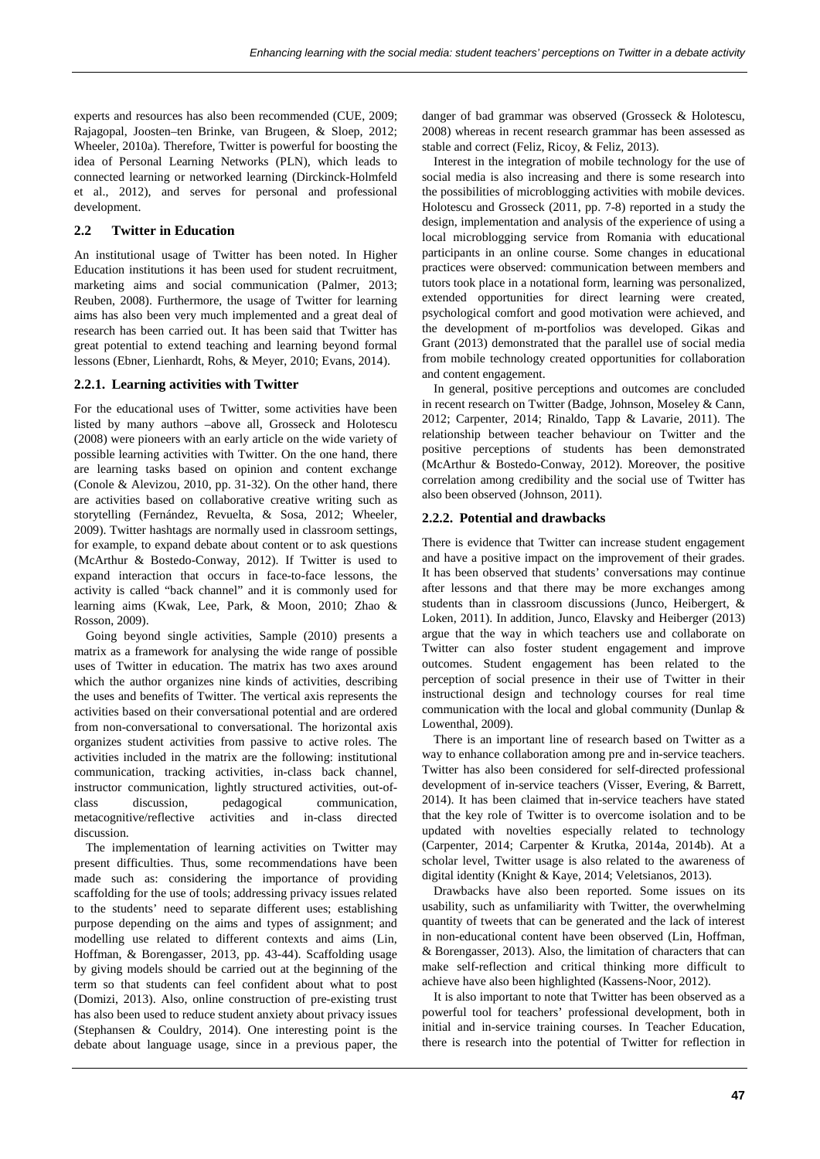experts and resources has also been recommended (CUE, 2009; Rajagopal, Joosten–ten Brinke, van Brugeen, & Sloep, 2012; Wheeler, 2010a). Therefore, Twitter is powerful for boosting the idea of Personal Learning Networks (PLN), which leads to connected learning or networked learning (Dirckinck-Holmfeld et al., 2012), and serves for personal and professional development.

## **2.2 Twitter in Education**

An institutional usage of Twitter has been noted. In Higher Education institutions it has been used for student recruitment, marketing aims and social communication (Palmer, 2013; Reuben, 2008). Furthermore, the usage of Twitter for learning aims has also been very much implemented and a great deal of research has been carried out. It has been said that Twitter has great potential to extend teaching and learning beyond formal lessons (Ebner, Lienhardt, Rohs, & Meyer, 2010; Evans, 2014).

## **2.2.1. Learning activities with Twitter**

For the educational uses of Twitter, some activities have been listed by many authors –above all, Grosseck and Holotescu (2008) were pioneers with an early article on the wide variety of possible learning activities with Twitter. On the one hand, there are learning tasks based on opinion and content exchange (Conole & Alevizou, 2010, pp. 31-32). On the other hand, there are activities based on collaborative creative writing such as storytelling (Fernández, Revuelta, & Sosa, 2012; Wheeler, 2009). Twitter hashtags are normally used in classroom settings, for example, to expand debate about content or to ask questions (McArthur & Bostedo-Conway, 2012). If Twitter is used to expand interaction that occurs in face-to-face lessons, the activity is called "back channel" and it is commonly used for learning aims (Kwak, Lee, Park, & Moon, 2010; Zhao & Rosson, 2009).

Going beyond single activities, Sample (2010) presents a matrix as a framework for analysing the wide range of possible uses of Twitter in education. The matrix has two axes around which the author organizes nine kinds of activities, describing the uses and benefits of Twitter. The vertical axis represents the activities based on their conversational potential and are ordered from non-conversational to conversational. The horizontal axis organizes student activities from passive to active roles. The activities included in the matrix are the following: institutional communication, tracking activities, in-class back channel, instructor communication, lightly structured activities, out-ofclass discussion, pedagogical communication, metacognitive/reflective activities and in-class directed discussion.

The implementation of learning activities on Twitter may present difficulties. Thus, some recommendations have been made such as: considering the importance of providing scaffolding for the use of tools; addressing privacy issues related to the students' need to separate different uses; establishing purpose depending on the aims and types of assignment; and modelling use related to different contexts and aims (Lin, Hoffman, & Borengasser, 2013, pp. 43-44). Scaffolding usage by giving models should be carried out at the beginning of the term so that students can feel confident about what to post (Domizi, 2013). Also, online construction of pre-existing trust has also been used to reduce student anxiety about privacy issues (Stephansen & Couldry, 2014). One interesting point is the debate about language usage, since in a previous paper, the danger of bad grammar was observed (Grosseck & Holotescu, 2008) whereas in recent research grammar has been assessed as stable and correct (Feliz, Ricoy, & Feliz, 2013).

Interest in the integration of mobile technology for the use of social media is also increasing and there is some research into the possibilities of microblogging activities with mobile devices. Holotescu and Grosseck (2011, pp. 7-8) reported in a study the design, implementation and analysis of the experience of using a local microblogging service from Romania with educational participants in an online course. Some changes in educational practices were observed: communication between members and tutors took place in a notational form, learning was personalized, extended opportunities for direct learning were created, psychological comfort and good motivation were achieved, and the development of m-portfolios was developed. Gikas and Grant (2013) demonstrated that the parallel use of social media from mobile technology created opportunities for collaboration and content engagement.

In general, positive perceptions and outcomes are concluded in recent research on Twitter (Badge, Johnson, Moseley & Cann, 2012; Carpenter, 2014; Rinaldo, Tapp & Lavarie, 2011). The relationship between teacher behaviour on Twitter and the positive perceptions of students has been demonstrated (McArthur & Bostedo-Conway, 2012). Moreover, the positive correlation among credibility and the social use of Twitter has also been observed (Johnson, 2011).

## **2.2.2. Potential and drawbacks**

There is evidence that Twitter can increase student engagement and have a positive impact on the improvement of their grades. It has been observed that students' conversations may continue after lessons and that there may be more exchanges among students than in classroom discussions (Junco, Heibergert, & Loken, 2011). In addition, Junco, Elavsky and Heiberger (2013) argue that the way in which teachers use and collaborate on Twitter can also foster student engagement and improve outcomes. Student engagement has been related to the perception of social presence in their use of Twitter in their instructional design and technology courses for real time communication with the local and global community (Dunlap & Lowenthal, 2009).

There is an important line of research based on Twitter as a way to enhance collaboration among pre and in-service teachers. Twitter has also been considered for self-directed professional development of in-service teachers (Visser, Evering, & Barrett, 2014). It has been claimed that in-service teachers have stated that the key role of Twitter is to overcome isolation and to be updated with novelties especially related to technology (Carpenter, 2014; Carpenter & Krutka, 2014a, 2014b). At a scholar level, Twitter usage is also related to the awareness of digital identity (Knight & Kaye, 2014; Veletsianos, 2013).

Drawbacks have also been reported. Some issues on its usability, such as unfamiliarity with Twitter, the overwhelming quantity of tweets that can be generated and the lack of interest in non-educational content have been observed (Lin, Hoffman, & Borengasser, 2013). Also, the limitation of characters that can make self-reflection and critical thinking more difficult to achieve have also been highlighted (Kassens-Noor, 2012).

It is also important to note that Twitter has been observed as a powerful tool for teachers' professional development, both in initial and in-service training courses. In Teacher Education, there is research into the potential of Twitter for reflection in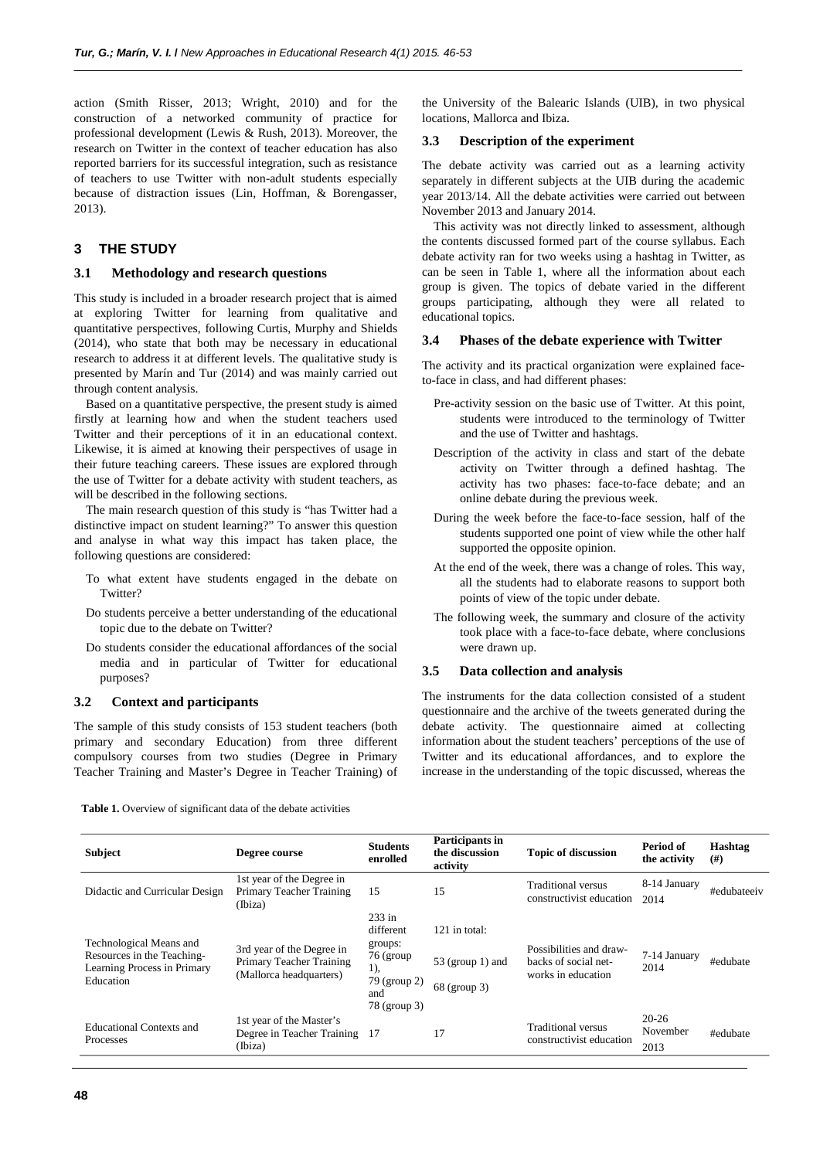action (Smith Risser, 2013; Wright, 2010) and for the construction of a networked community of practice for professional development (Lewis & Rush, 2013). Moreover, the research on Twitter in the context of teacher education has also reported barriers for its successful integration, such as resistance of teachers to use Twitter with non-adult students especially because of distraction issues (Lin, Hoffman, & Borengasser, 2013).

# **3 THE STUDY**

## **3.1 Methodology and research questions**

This study is included in a broader research project that is aimed at exploring Twitter for learning from qualitative and quantitative perspectives, following Curtis, Murphy and Shields (2014), who state that both may be necessary in educational research to address it at different levels. The qualitative study is presented by Marín and Tur (2014) and was mainly carried out through content analysis.

Based on a quantitative perspective, the present study is aimed firstly at learning how and when the student teachers used Twitter and their perceptions of it in an educational context. Likewise, it is aimed at knowing their perspectives of usage in their future teaching careers. These issues are explored through the use of Twitter for a debate activity with student teachers, as will be described in the following sections.

The main research question of this study is "has Twitter had a distinctive impact on student learning?" To answer this question and analyse in what way this impact has taken place, the following questions are considered:

- To what extent have students engaged in the debate on Twitter?
- Do students perceive a better understanding of the educational topic due to the debate on Twitter?
- Do students consider the educational affordances of the social media and in particular of Twitter for educational purposes?

## **3.2 Context and participants**

The sample of this study consists of 153 student teachers (both primary and secondary Education) from three different compulsory courses from two studies (Degree in Primary Teacher Training and Master's Degree in Teacher Training) of

**Table 1.** Overview of significant data of the debate activities

the University of the Balearic Islands (UIB), in two physical locations, Mallorca and Ibiza.

## **3.3 Description of the experiment**

The debate activity was carried out as a learning activity separately in different subjects at the UIB during the academic year 2013/14. All the debate activities were carried out between November 2013 and January 2014.

This activity was not directly linked to assessment, although the contents discussed formed part of the course syllabus. Each debate activity ran for two weeks using a hashtag in Twitter, as can be seen in Table 1, where all the information about each group is given. The topics of debate varied in the different groups participating, although they were all related to educational topics.

#### **3.4 Phases of the debate experience with Twitter**

The activity and its practical organization were explained faceto-face in class, and had different phases:

- Pre-activity session on the basic use of Twitter. At this point, students were introduced to the terminology of Twitter and the use of Twitter and hashtags.
- Description of the activity in class and start of the debate activity on Twitter through a defined hashtag. The activity has two phases: face-to-face debate; and an online debate during the previous week.
- During the week before the face-to-face session, half of the students supported one point of view while the other half supported the opposite opinion.
- At the end of the week, there was a change of roles. This way, all the students had to elaborate reasons to support both points of view of the topic under debate.
- The following week, the summary and closure of the activity took place with a face-to-face debate, where conclusions were drawn up.

#### **3.5 Data collection and analysis**

The instruments for the data collection consisted of a student questionnaire and the archive of the tweets generated during the debate activity. The questionnaire aimed at collecting information about the student teachers' perceptions of the use of Twitter and its educational affordances, and to explore the increase in the understanding of the topic discussed, whereas the

| <b>Subject</b>                                                                                    | Degree course                                                                    | <b>Students</b><br>enrolled                                                                 | Participants in<br>the discussion<br>activity       | <b>Topic of discussion</b>                                            | Period of<br>the activity     | Hashtag<br>(# ) |
|---------------------------------------------------------------------------------------------------|----------------------------------------------------------------------------------|---------------------------------------------------------------------------------------------|-----------------------------------------------------|-----------------------------------------------------------------------|-------------------------------|-----------------|
| Didactic and Curricular Design                                                                    | 1st year of the Degree in<br>Primary Teacher Training<br>(Ibiza)                 | 15                                                                                          | 15                                                  | Traditional versus<br>constructivist education                        | 8-14 January<br>2014          | #edubateeiv     |
| Technological Means and<br>Resources in the Teaching-<br>Learning Process in Primary<br>Education | 3rd year of the Degree in<br>Primary Teacher Training<br>(Mallorca headquarters) | $233$ in<br>different<br>groups:<br>76 (group<br>1),<br>79 (group 2)<br>and<br>78 (group 3) | 121 in total:<br>$53$ (group 1) and<br>68 (group 3) | Possibilities and draw-<br>backs of social net-<br>works in education | 7-14 January<br>2014          | #edubate        |
| <b>Educational Contexts and</b><br>Processes                                                      | 1st year of the Master's<br>Degree in Teacher Training<br>(Ibiza)                | -17                                                                                         | 17                                                  | Traditional versus<br>constructivist education                        | $20 - 26$<br>November<br>2013 | #edubate        |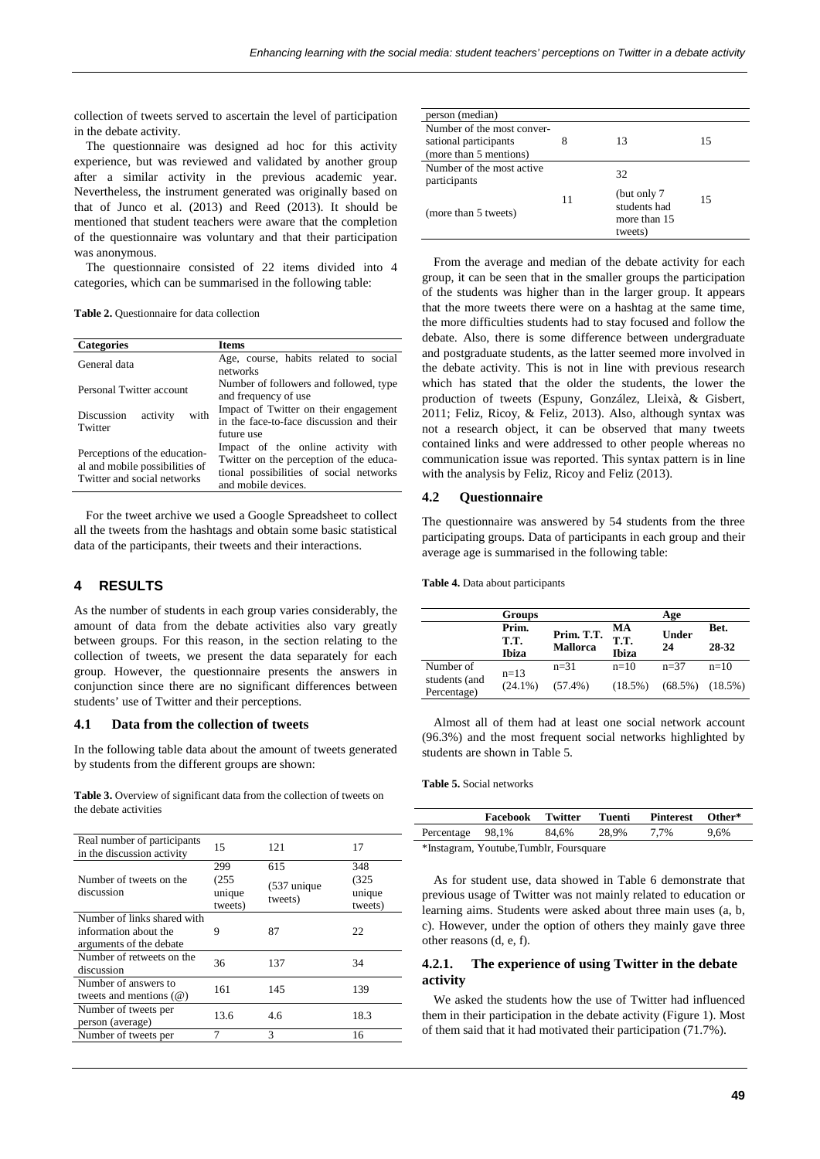collection of tweets served to ascertain the level of participation in the debate activity.

The questionnaire was designed ad hoc for this activity experience, but was reviewed and validated by another group after a similar activity in the previous academic year. Nevertheless, the instrument generated was originally based on that of Junco et al. (2013) and Reed (2013). It should be mentioned that student teachers were aware that the completion of the questionnaire was voluntary and that their participation was anonymous.

The questionnaire consisted of 22 items divided into 4 categories, which can be summarised in the following table:

**Table 2.** Questionnaire for data collection

| <b>Categories</b>                                                                              | <b>Items</b>                                                                                                                                    |  |  |  |  |
|------------------------------------------------------------------------------------------------|-------------------------------------------------------------------------------------------------------------------------------------------------|--|--|--|--|
| General data                                                                                   | Age, course, habits related to social<br>networks                                                                                               |  |  |  |  |
| Personal Twitter account                                                                       | Number of followers and followed, type<br>and frequency of use                                                                                  |  |  |  |  |
| with<br>Discussion<br>activity<br>Twitter                                                      | Impact of Twitter on their engagement<br>in the face-to-face discussion and their<br>future use                                                 |  |  |  |  |
| Perceptions of the education-<br>al and mobile possibilities of<br>Twitter and social networks | Impact of the online activity with<br>Twitter on the perception of the educa-<br>tional possibilities of social networks<br>and mobile devices. |  |  |  |  |

For the tweet archive we used a Google Spreadsheet to collect all the tweets from the hashtags and obtain some basic statistical data of the participants, their tweets and their interactions.

# **4 RESULTS**

As the number of students in each group varies considerably, the amount of data from the debate activities also vary greatly between groups. For this reason, in the section relating to the collection of tweets, we present the data separately for each group. However, the questionnaire presents the answers in conjunction since there are no significant differences between students' use of Twitter and their perceptions.

#### **4.1 Data from the collection of tweets**

In the following table data about the amount of tweets generated by students from the different groups are shown:

**Table 3.** Overview of significant data from the collection of tweets on the debate activities

| Real number of participants<br>in the discussion activity                       | 15                                | 121                              | 17                                |
|---------------------------------------------------------------------------------|-----------------------------------|----------------------------------|-----------------------------------|
| Number of tweets on the<br>discussion                                           | 299<br>(255)<br>unique<br>tweets) | 615<br>$(537)$ unique<br>tweets) | 348<br>(325)<br>unique<br>tweets) |
| Number of links shared with<br>information about the<br>arguments of the debate | 9                                 | 87                               | 22                                |
| Number of retweets on the<br>discussion                                         | 36                                | 137                              | 34                                |
| Number of answers to<br>tweets and mentions $(\omega)$                          | 161                               | 145                              | 139                               |
| Number of tweets per<br>person (average)                                        | 13.6                              | 4.6                              | 18.3                              |
| Number of tweets per                                                            | 7                                 | 3                                | 16                                |

| person (median)                                                               |    |                                                         |    |
|-------------------------------------------------------------------------------|----|---------------------------------------------------------|----|
| Number of the most conver-<br>sational participants<br>(more than 5 mentions) | 8  | 13                                                      | 15 |
| Number of the most active.<br>participants                                    |    | 32                                                      |    |
| (more than 5 tweets)                                                          | 11 | (but only 7)<br>students had<br>more than 15<br>tweets) | 15 |

From the average and median of the debate activity for each group, it can be seen that in the smaller groups the participation of the students was higher than in the larger group. It appears that the more tweets there were on a hashtag at the same time, the more difficulties students had to stay focused and follow the debate. Also, there is some difference between undergraduate and postgraduate students, as the latter seemed more involved in the debate activity. This is not in line with previous research which has stated that the older the students, the lower the production of tweets (Espuny, González, Lleixà, & Gisbert, 2011; Feliz, Ricoy, & Feliz, 2013). Also, although syntax was not a research object, it can be observed that many tweets contained links and were addressed to other people whereas no communication issue was reported. This syntax pattern is in line with the analysis by Feliz, Ricoy and Feliz (2013).

## **4.2 Questionnaire**

The questionnaire was answered by 54 students from the three participating groups. Data of participants in each group and their average age is summarised in the following table:

**Table 4.** Data about participants

|                              | <b>Groups</b>          |                               |                            | Age                   |               |
|------------------------------|------------------------|-------------------------------|----------------------------|-----------------------|---------------|
|                              | Prim.<br>T.T.<br>Ibiza | Prim. T.T.<br><b>Mallorca</b> | МA<br>T.T.<br><b>Ibiza</b> | <b>Under</b><br>24    | Bet.<br>28-32 |
| Number of                    | $n=13$                 | $n = 31$                      | $n=10$                     | $n = 37$              | $n=10$        |
| students (and<br>Percentage) | $(24.1\%)$             | $(57.4\%)$                    | (18.5%)                    | $(68.5\%)$ $(18.5\%)$ |               |

Almost all of them had at least one social network account (96.3%) and the most frequent social networks highlighted by students are shown in Table 5.

#### **Table 5.** Social networks

|                                         | Facebook | Twitter | Tuenti | Pinterest | Other* |
|-----------------------------------------|----------|---------|--------|-----------|--------|
| Percentage 98,1%                        |          | 84.6%   | 28.9%  | 7.7%      | 9.6%   |
| *Instagram, Youtube, Tumblr, Foursquare |          |         |        |           |        |

As for student use, data showed in Table 6 demonstrate that previous usage of Twitter was not mainly related to education or learning aims. Students were asked about three main uses (a, b, c). However, under the option of others they mainly gave three other reasons (d, e, f).

## **4.2.1. The experience of using Twitter in the debate activity**

We asked the students how the use of Twitter had influenced them in their participation in the debate activity (Figure 1). Most of them said that it had motivated their participation (71.7%).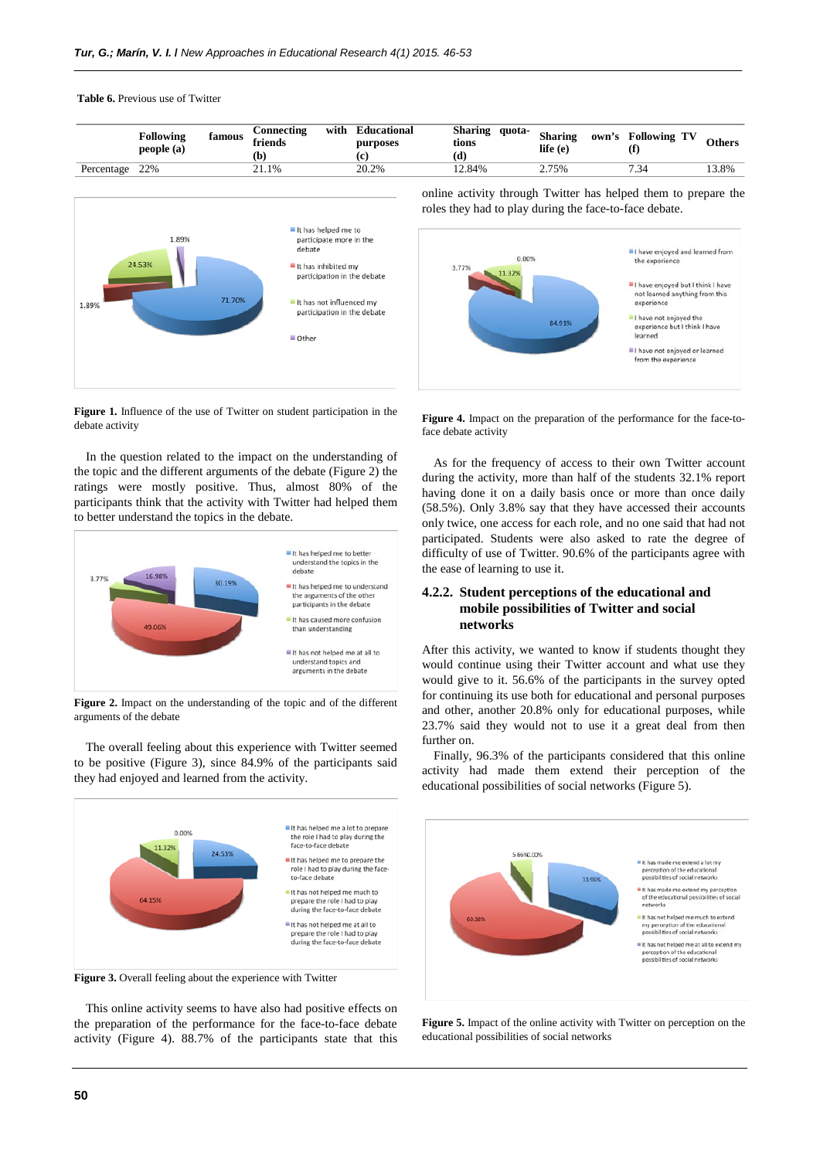**Table 6.** Previous use of Twitter

|                   | <b>Following</b><br>famous<br>people (a) | with<br>Connecting<br>friends<br>Ъ | Educational<br>purposes<br>æ | Sharing<br>quota-<br>tions<br>(d | <b>Sharing</b><br>own's<br>life (e) | <b>Following TV</b> | Others |
|-------------------|------------------------------------------|------------------------------------|------------------------------|----------------------------------|-------------------------------------|---------------------|--------|
| 22%<br>Percentage |                                          | 21.1%                              | 20.2%                        | 12.84%                           | 2.75%                               | 7.34                | 13.8%  |



online activity through Twitter has helped them to prepare the roles they had to play during the face-to-face debate.



**Figure 1.** Influence of the use of Twitter on student participation in the debate activity

In the question related to the impact on the understanding of the topic and the different arguments of the debate (Figure 2) the ratings were mostly positive. Thus, almost 80% of the participants think that the activity with Twitter had helped them to better understand the topics in the debate.



**Figure 2.** Impact on the understanding of the topic and of the different arguments of the debate

The overall feeling about this experience with Twitter seemed to be positive (Figure 3), since 84.9% of the participants said they had enjoyed and learned from the activity.





This online activity seems to have also had positive effects on the preparation of the performance for the face-to-face debate activity (Figure 4). 88.7% of the participants state that this

Figure 4. Impact on the preparation of the performance for the face-toface debate activity

As for the frequency of access to their own Twitter account during the activity, more than half of the students 32.1% report having done it on a daily basis once or more than once daily (58.5%). Only 3.8% say that they have accessed their accounts only twice, one access for each role, and no one said that had not participated. Students were also asked to rate the degree of difficulty of use of Twitter. 90.6% of the participants agree with the ease of learning to use it.

# **4.2.2. Student perceptions of the educational and mobile possibilities of Twitter and social networks**

After this activity, we wanted to know if students thought they would continue using their Twitter account and what use they would give to it. 56.6% of the participants in the survey opted for continuing its use both for educational and personal purposes and other, another 20.8% only for educational purposes, while 23.7% said they would not to use it a great deal from then further on.

Finally, 96.3% of the participants considered that this online activity had made them extend their perception of the educational possibilities of social networks (Figure 5).



**Figure 5.** Impact of the online activity with Twitter on perception on the educational possibilities of social networks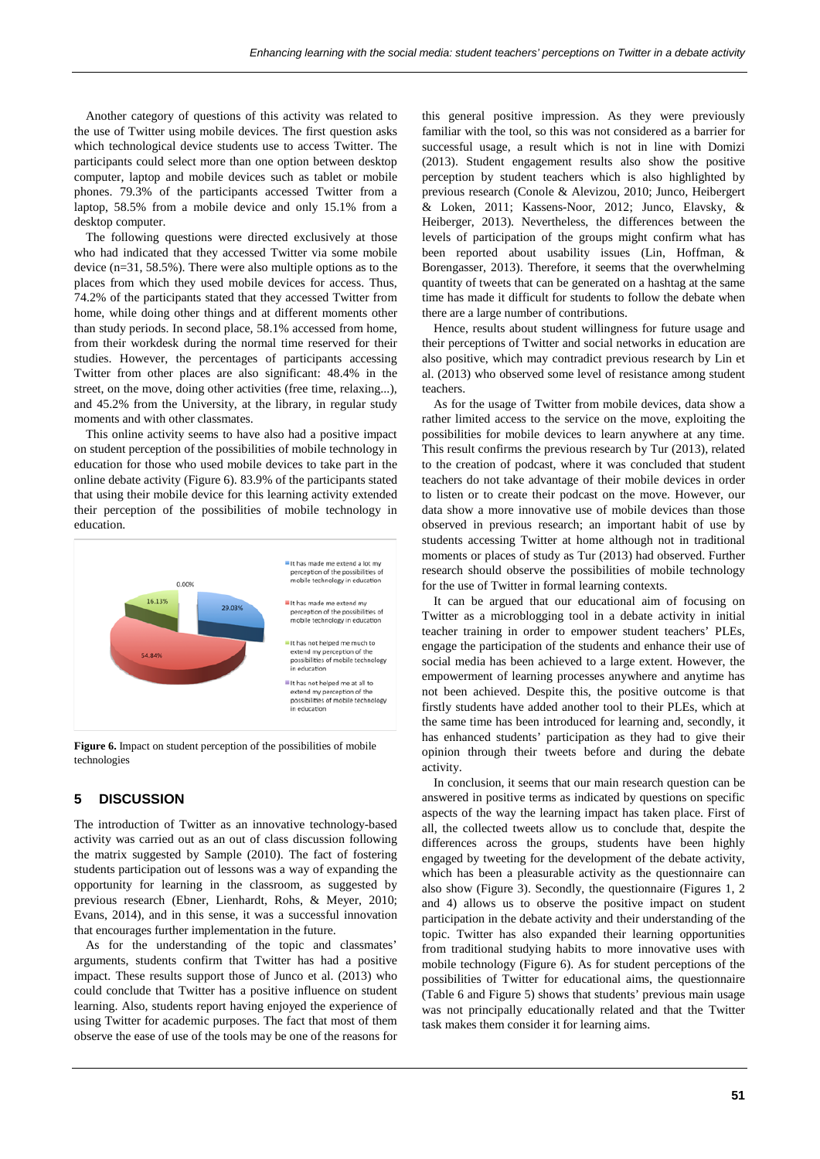Another category of questions of this activity was related to the use of Twitter using mobile devices. The first question asks which technological device students use to access Twitter. The participants could select more than one option between desktop computer, laptop and mobile devices such as tablet or mobile phones. 79.3% of the participants accessed Twitter from a laptop, 58.5% from a mobile device and only 15.1% from a desktop computer.

The following questions were directed exclusively at those who had indicated that they accessed Twitter via some mobile device (n=31, 58.5%). There were also multiple options as to the places from which they used mobile devices for access. Thus, 74.2% of the participants stated that they accessed Twitter from home, while doing other things and at different moments other than study periods. In second place, 58.1% accessed from home, from their workdesk during the normal time reserved for their studies. However, the percentages of participants accessing Twitter from other places are also significant: 48.4% in the street, on the move, doing other activities (free time, relaxing...), and 45.2% from the University, at the library, in regular study moments and with other classmates.

This online activity seems to have also had a positive impact on student perception of the possibilities of mobile technology in education for those who used mobile devices to take part in the online debate activity (Figure 6). 83.9% of the participants stated that using their mobile device for this learning activity extended their perception of the possibilities of mobile technology in education.



Figure 6. Impact on student perception of the possibilities of mobile technologies

## **5 DISCUSSION**

The introduction of Twitter as an innovative technology-based activity was carried out as an out of class discussion following the matrix suggested by Sample (2010). The fact of fostering students participation out of lessons was a way of expanding the opportunity for learning in the classroom, as suggested by previous research (Ebner, Lienhardt, Rohs, & Meyer, 2010; Evans, 2014), and in this sense, it was a successful innovation that encourages further implementation in the future.

As for the understanding of the topic and classmates' arguments, students confirm that Twitter has had a positive impact. These results support those of Junco et al. (2013) who could conclude that Twitter has a positive influence on student learning. Also, students report having enjoyed the experience of using Twitter for academic purposes. The fact that most of them observe the ease of use of the tools may be one of the reasons for

this general positive impression. As they were previously familiar with the tool, so this was not considered as a barrier for successful usage, a result which is not in line with Domizi (2013). Student engagement results also show the positive perception by student teachers which is also highlighted by previous research (Conole & Alevizou, 2010; Junco, Heibergert & Loken, 2011; Kassens-Noor, 2012; Junco, Elavsky, & Heiberger, 2013). Nevertheless, the differences between the levels of participation of the groups might confirm what has been reported about usability issues (Lin, Hoffman, & Borengasser, 2013). Therefore, it seems that the overwhelming quantity of tweets that can be generated on a hashtag at the same time has made it difficult for students to follow the debate when there are a large number of contributions.

Hence, results about student willingness for future usage and their perceptions of Twitter and social networks in education are also positive, which may contradict previous research by Lin et al. (2013) who observed some level of resistance among student teachers.

As for the usage of Twitter from mobile devices, data show a rather limited access to the service on the move, exploiting the possibilities for mobile devices to learn anywhere at any time. This result confirms the previous research by Tur (2013), related to the creation of podcast, where it was concluded that student teachers do not take advantage of their mobile devices in order to listen or to create their podcast on the move. However, our data show a more innovative use of mobile devices than those observed in previous research; an important habit of use by students accessing Twitter at home although not in traditional moments or places of study as Tur (2013) had observed. Further research should observe the possibilities of mobile technology for the use of Twitter in formal learning contexts.

It can be argued that our educational aim of focusing on Twitter as a microblogging tool in a debate activity in initial teacher training in order to empower student teachers' PLEs, engage the participation of the students and enhance their use of social media has been achieved to a large extent. However, the empowerment of learning processes anywhere and anytime has not been achieved. Despite this, the positive outcome is that firstly students have added another tool to their PLEs, which at the same time has been introduced for learning and, secondly, it has enhanced students' participation as they had to give their opinion through their tweets before and during the debate activity.

In conclusion, it seems that our main research question can be answered in positive terms as indicated by questions on specific aspects of the way the learning impact has taken place. First of all, the collected tweets allow us to conclude that, despite the differences across the groups, students have been highly engaged by tweeting for the development of the debate activity, which has been a pleasurable activity as the questionnaire can also show (Figure 3). Secondly, the questionnaire (Figures 1, 2 and 4) allows us to observe the positive impact on student participation in the debate activity and their understanding of the topic. Twitter has also expanded their learning opportunities from traditional studying habits to more innovative uses with mobile technology (Figure 6). As for student perceptions of the possibilities of Twitter for educational aims, the questionnaire (Table 6 and Figure 5) shows that students' previous main usage was not principally educationally related and that the Twitter task makes them consider it for learning aims.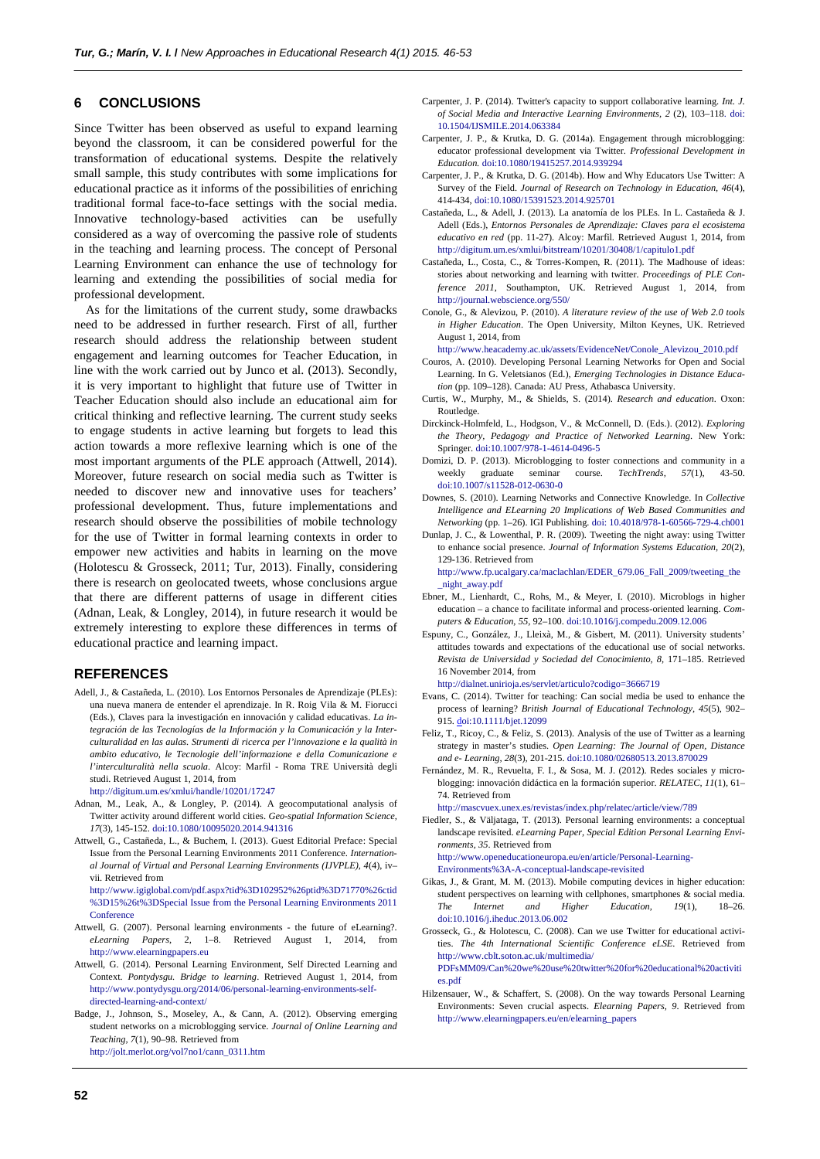## **6 CONCLUSIONS**

Since Twitter has been observed as useful to expand learning beyond the classroom, it can be considered powerful for the transformation of educational systems. Despite the relatively small sample, this study contributes with some implications for educational practice as it informs of the possibilities of enriching traditional formal face-to-face settings with the social media. Innovative technology-based activities can be usefully considered as a way of overcoming the passive role of students in the teaching and learning process. The concept of Personal Learning Environment can enhance the use of technology for learning and extending the possibilities of social media for professional development.

As for the limitations of the current study, some drawbacks need to be addressed in further research. First of all, further research should address the relationship between student engagement and learning outcomes for Teacher Education, in line with the work carried out by Junco et al. (2013). Secondly, it is very important to highlight that future use of Twitter in Teacher Education should also include an educational aim for critical thinking and reflective learning. The current study seeks to engage students in active learning but forgets to lead this action towards a more reflexive learning which is one of the most important arguments of the PLE approach (Attwell, 2014). Moreover, future research on social media such as Twitter is needed to discover new and innovative uses for teachers' professional development. Thus, future implementations and research should observe the possibilities of mobile technology for the use of Twitter in formal learning contexts in order to empower new activities and habits in learning on the move (Holotescu & Grosseck, 2011; Tur, 2013). Finally, considering there is research on geolocated tweets, whose conclusions argue that there are different patterns of usage in different cities (Adnan, Leak, & Longley, 2014), in future research it would be extremely interesting to explore these differences in terms of educational practice and learning impact.

#### **REFERENCES**

- Adell, J., & Castañeda, L. (2010). Los Entornos Personales de Aprendizaje (PLEs): una nueva manera de entender el aprendizaje. In R. Roig Vila & M. Fiorucci (Eds.), Claves para la investigación en innovación y calidad educativas. *La integración de las Tecnologías de la Información y la Comunicación y la Interculturalidad en las aulas. Strumenti di ricerca per l'innovazione e la qualità in ambito educativo, le Tecnologie dell'informazione e della Comunicazione e l'interculturalità nella scuola*. Alcoy: Marfil - Roma TRE Università degli studi. Retrieved August 1, 2014, from
	- <http://digitum.um.es/xmlui/handle/10201/17247>
- Adnan, M., Leak, A., & Longley, P. (2014). A geocomputational analysis of Twitter activity around different world cities. *Geo-spatial Information Science, 17*(3), 145-152. do[i:10.1080/10095020.2014.941316](http://dx.doi.org/10.1080/10095020.2014.941316)
- Attwell, G., Castañeda, L., & Buchem, I. (2013). Guest Editorial Preface: Special Issue from the Personal Learning Environments 2011 Conference. *International Journal of Virtual and Personal Learning Environments (IJVPLE), 4*(4), iv– vii. Retrieved from

http://www.igiglobal.com/pdf.aspx?tid%3D102952%26ptid%3D71770%26ctid %3D15%26t%3DSpecial Issue from the Personal Learning Environments 2011 Conference

- Attwell, G. (2007). Personal learning environments the future of eLearning?. *eLearning Papers*, 2, 1–8. Retrieved August 1, 2014, from http://www.elearningpapers.eu
- Attwell, G. (2014). Personal Learning Environment, Self Directed Learning and Context. *Pontydysgu. Bridge to learning*. Retrieved August 1, 2014, from [http://www.pontydysgu.org/2014/06/personal-learning-environments-self](http://www.pontydysgu.org/2014/06/personal-learning-environments-self-directed-learning-and-context/)[directed-learning-and-context/](http://www.pontydysgu.org/2014/06/personal-learning-environments-self-directed-learning-and-context/)
- Badge, J., Johnson, S., Moseley, A., & Cann, A. (2012). Observing emerging student networks on a microblogging service. *Journal of Online Learning and Teaching, 7*(1), 90–98. Retrieved from [http://jolt.merlot.org/vol7no1/cann\\_0311.htm](http://jolt.merlot.org/vol7no1/cann_0311.htm)
- Carpenter, J. P. (2014). Twitter's capacity to support collaborative learning. *Int. J. of Social Media and Interactive Learning Environments, 2* (2), 103–118. [doi:](http://dx.doi.org/10.1504/IJSMILE.2014.063384)  [10.1504/IJSMILE.2014.063384](http://dx.doi.org/10.1504/IJSMILE.2014.063384)
- Carpenter, J. P., & Krutka, D. G. (2014a). Engagement through microblogging: educator professional development via Twitter. *Professional Development in Education.* [doi:10.1080/19415257.2014.939294](http://dx.doi.org/10.1080/19415257.2014.939294)
- Carpenter, J. P., & Krutka, D. G. (2014b). How and Why Educators Use Twitter: A Survey of the Field. *Journal of Research on Technology in Education, 46*(4), 414-434[, doi:10.1080/15391523.2014.925701](http://dx.doi.org/10.1080/15391523.2014.925701)
- Castañeda, L., & Adell, J. (2013). La anatomía de los PLEs. In L. Castañeda & J. Adell (Eds.), *Entornos Personales de Aprendizaje: Claves para el ecosistema educativo en red* (pp. 11-27). Alcoy: Marfil. Retrieved August 1, 2014, from http://digitum.um.es/xmlui/bitstream/10201/30408/1/capitulo1.pdf
- Castañeda, L., Costa, C., & Torres-Kompen, R. (2011). The Madhouse of ideas: stories about networking and learning with twitter. *Proceedings of PLE Conference 2011*, Southampton, UK. Retrieved August 1, 2014, from http://journal.webscience.org/550/
- Conole, G., & Alevizou, P. (2010). *A literature review of the use of Web 2.0 tools in Higher Education*. The Open University, Milton Keynes, UK. Retrieved August 1, 2014, from

http://www.heacademy.ac.uk/assets/EvidenceNet/Conole\_Alevizou\_2010.pdf

- Couros, A. (2010). Developing Personal Learning Networks for Open and Social Learning. In G. Veletsianos (Ed.), *Emerging Technologies in Distance Education* (pp. 109–128). Canada: AU Press, Athabasca University.
- Curtis, W., Murphy, M., & Shields, S. (2014). *Research and education*. Oxon: Routledge.
- Dirckinck-Holmfeld, L., Hodgson, V., & McConnell, D. (Eds.). (2012). *Exploring the Theory, Pedagogy and Practice of Networked Learning*. New York: Springer[. doi:10.1007/978-1-4614-0496-5](http://dx.doi.org/10.1007/978-1-4614-0496-5)
- Domizi, D. P. (2013). Microblogging to foster connections and community in a weekly graduate seminar course. *TechTrends*, 57(1), 43-50. weekly graduate seminar course. *TechTrends, 57*(1), 43-50. [doi:10.1007/s11528-012-0630-0](http://dx.doi.org/10.1007/s11528-012-0630-0)
- Downes, S. (2010). Learning Networks and Connective Knowledge. In *Collective Intelligence and ELearning 20 Implications of Web Based Communities and Networking* (pp. 1–26). IGI Publishing. doi[: 10.4018/978-1-60566-729-4.ch001](http://dx.doi.org/10.4018/978-1-60566-729-4.ch001)
- Dunlap, J. C., & Lowenthal, P. R. (2009). Tweeting the night away: using Twitter to enhance social presence. *Journal of Information Systems Education, 20*(2), 129-136. Retrieved from

http://www.fp.ucalgary.ca/maclachlan/EDER\_679.06\_Fall\_2009/tweeting\_the \_night\_away.pdf

- Ebner, M., Lienhardt, C., Rohs, M., & Meyer, I. (2010). Microblogs in higher education – a chance to facilitate informal and process-oriented learning. *Computers & Education, 55*, 92–100. [doi:10.1016/j.compedu.2009.12.006](http://dx.doi.org/10.1016/j.compedu.2009.12.006)
- Espuny, C., González, J., Lleixà, M., & Gisbert, M. (2011). University students' attitudes towards and expectations of the educational use of social networks. *Revista de Universidad y Sociedad del Conocimiento, 8,* 171–185. Retrieved 16 November 2014, from

http://dialnet.unirioja.es/servlet/articulo?codigo=3666719

- Evans, C. (2014). Twitter for teaching: Can social media be used to enhance the process of learning? *British Journal of Educational Technology, 45*(5), 902– 915[. doi:10.1111/bjet.12099](http://dx.doi.org/10.1111/bjet.12099)
- Feliz, T., Ricoy, C., & Feliz, S. (2013). Analysis of the use of Twitter as a learning strategy in master's studies. *Open Learning: The Journal of Open, Distance and e- Learning, 28*(3), 201-215[. doi:10.1080/02680513.2013.870029](http://dx.doi.org/10.1080/02680513.2013.870029)
- Fernández, M. R., Revuelta, F. I., & Sosa, M. J. (2012). Redes sociales y microblogging: innovación didáctica en la formación superior. *RELATEC, 11*(1), 61– 74. Retrieved from

<http://mascvuex.unex.es/revistas/index.php/relatec/article/view/789>

Fiedler, S., & Väljataga, T. (2013). Personal learning environments: a conceptual landscape revisited. *eLearning Paper, Special Edition Personal Learning Environments, 35*. Retrieved from

http://www.openeducationeuropa.eu/en/article/Personal-Learning-Environments%3A-A-conceptual-landscape-revisited

- 
- Gikas, J., & Grant, M. M. (2013). Mobile computing devices in higher education: student perspectives on learning with cellphones, smartphones & social media. *The Internet and Higher Education, 19*(1), 18–26. [doi:10.1016/j.iheduc.2013.06.002](http://dx.doi.org/10.1016/j.iheduc.2013.06.002)
- Grosseck, G., & Holotescu, C. (2008). Can we use Twitter for educational activities. *The 4th International Scientific Conference eLSE*. Retrieved from http://www.cblt.soton.ac.uk/multimedia/

PDFsMM09/Can%20we%20use%20twitter%20for%20educational%20activiti es.pdf

Hilzensauer, W., & Schaffert, S. (2008). On the way towards Personal Learning Environments: Seven crucial aspects. *Elearning Papers, 9*. Retrieved from http://www.elearningpapers.eu/en/elearning\_papers